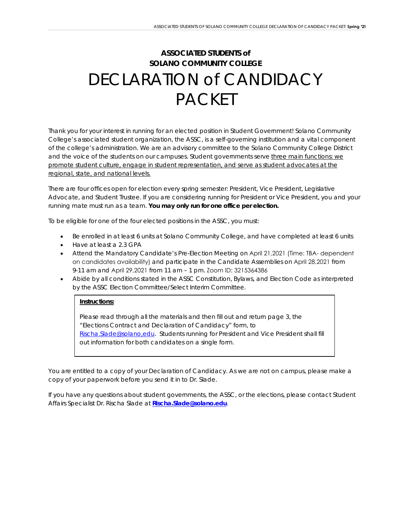# **ASSOCIATED STUDENTS** *of* **SOLANO COMMUNITY COLLEGE** DECLARATION *of* CANDIDACY PACKET

Thank you for your interest in running for an elected position in Student Government! Solano Community College's associated student organization, the ASSC, is a self-governing institution and a vital component of the college's administration. We are an advisory committee to the Solano Community College District and the voice of the students on our campuses. Student governments serve three main functions: we promote student culture, engage in student representation, and serve as student advocates at the regional, state, and national levels.

There are four offices open for election every spring semester: President, Vice President, Legislative Advocate, and Student Trustee. If you are considering running for President or Vice President, you and your running mate must run as a team. **You may only run for one office per election.**

To be eligible for one of the four elected positions in the ASSC, you must:

- Be enrolled in at least 6 units at Solano Community College, and have completed at least 6 units
- Have at least a 2.3 GPA
- Attend the Mandatory Candidate's Pre-Election Meeting on April 21, 2021 (Time: TBA- dependent on candidates availability) and participate in the Candidate Assemblies on April 28,2021 from 9-11 am and April 29,2021 from 11 am – 1 pm. Zoom ID: 3215364386
- Abide by all conditions stated in the ASSC Constitution, Bylaws, and Election Code as interpreted by the ASSC Election Committee/Select Interim Committee.

#### **Instructions:**

Please read through all the materials and then fill out and return page 3, the *"Elections Contract and Declaration of Candidacy"* form, to [Rischa.Slade@solano,edu.](mailto:Rischa.Slade@solano,edu) Students running for President and Vice President shall fill out information for both candidates on a single form.

You are entitled to a copy of your Declaration of Candidacy. As we are not on campus, please make a copy of your paperwork before you send it in to Dr. Slade.

If you have any questions about student governments, the ASSC, or the elections, please contact Student Affairs Specialist Dr. Rischa Slade at *[Rischa.Slade@solano.edu](mailto:Rischa.Slade@solano.edu)*.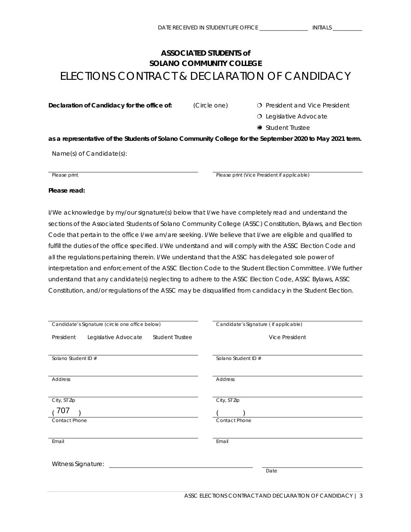# **ASSOCIATED STUDENTS** *of* **SOLANO COMMUNITY COLLEGE** ELECTIONS CONTRACT & DECLARATION OF CANDIDACY

**Declaration of Candidacy for the office of:** (Circle one) **O** President and Vice President

O Legislative Advocate

● Student Trustee

**as a representative of the Students of Solano Community College for the September 2020 to May 2021 term.** 

Name(s) of Candidate(s):

**Please print** *Please print Please print* (*Vice President if applicable*)

**Please read:** 

I/We acknowledge by my/our signature(s) below that I/we have completely read and understand the sections of the Associated Students of Solano Community College (ASSC) Constitution, Bylaws, and Election Code that pertain to the office I/we am/are seeking. I/We believe that I/we are eligible and qualified to fulfill the duties of the office specified. I/We understand and will comply with the ASSC Election Code and all the regulations pertaining therein. I/We understand that the ASSC has delegated sole power of interpretation and enforcement of the ASSC Election Code to the Student Election Committee. I/We further understand that any candidate(s) neglecting to adhere to the ASSC Election Code, ASSC Bylaws, ASSC Constitution, and/or regulations of the ASSC may be disqualified from candidacy in the Student Election.

| Candidate's Signature (circle one office below)             | Candidate's Signature ( if applicable) |  |
|-------------------------------------------------------------|----------------------------------------|--|
| <b>Student Trustee</b><br>Legislative Advocate<br>President | <b>Vice President</b>                  |  |
|                                                             |                                        |  |
| Solano Student ID #                                         | Solano Student ID #                    |  |
|                                                             |                                        |  |
| Address                                                     | Address                                |  |
|                                                             |                                        |  |
| City, ST Zip                                                | City, ST Zip                           |  |
| 707                                                         |                                        |  |
| Contact Phone                                               | Contact Phone                          |  |
|                                                             |                                        |  |
| Email                                                       | Email                                  |  |
|                                                             |                                        |  |
| Witness Signature:                                          |                                        |  |
|                                                             | Date                                   |  |
|                                                             |                                        |  |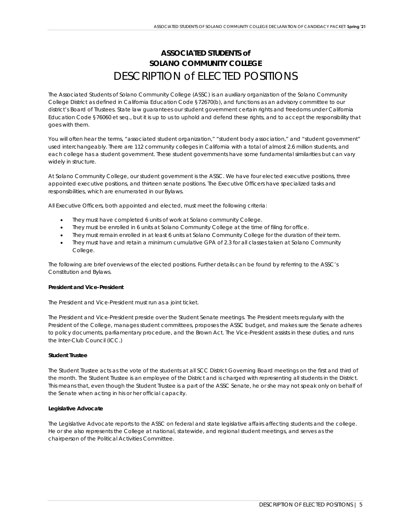# **ASSOCIATED STUDENTS** *of* **SOLANO COMMUNITY COLLEGE** DESCRIPTION of ELECTED POSITIONS

The Associated Students of Solano Community College (ASSC) is an auxiliary organization of the Solano Community College District as defined in California Education Code §72670(b), and functions as an advisory committee to our district's Board of Trustees. State law guarantees our student government certain rights and freedoms under California Education Code §76060 *et seq.*, but it is up to us to uphold and defend these rights, and to accept the responsibility that goes with them.

You will often hear the terms, "associated student organization," "student body association," and "student government" used interchangeably. There are 112 community colleges in California with a total of almost 2.6 million students, and each college has a student government. These student governments have some fundamental similarities but can vary widely in structure.

At Solano Community College, our student government is the ASSC. We have four elected executive positions, three appointed executive positions, and thirteen senate positions. The Executive Officers have specialized tasks and responsibilities, which are enumerated in our Bylaws.

All Executive Officers, both appointed and elected, must meet the following criteria:

- They must have completed 6 units of work at Solano community College.
- They must be enrolled in 6 units at Solano Community College at the time of filing for office.
- They must remain enrolled in at least 6 units at Solano Community College for the duration of their term.
- They must have and retain a minimum cumulative GPA of 2.3 for all classes taken at Solano Community College.

The following are brief overviews of the elected positions. Further details can be found by referring to the ASSC's Constitution and Bylaws.

#### **President and Vice-President**

The President and Vice-President must run as a joint ticket.

The President and Vice-President preside over the Student Senate meetings. The President meets regularly with the President of the College, manages student committees, proposes the ASSC budget, and makes sure the Senate adheres to policy documents, parliamentary procedure, and the Brown Act. The Vice-President assists in these duties, and runs the Inter-Club Council (ICC.)

#### **Student Trustee**

The Student Trustee acts as the vote of the students at all SCC District Governing Board meetings on the first and third of the month. The Student Trustee is an employee of the District and is charged with representing all students in the District. This means that, even though the Student Trustee is a part of the ASSC Senate, he or she may not speak *only* on behalf of the Senate when acting in his or her official capacity.

#### **Legislative Advocate**

The Legislative Advocate reports to the ASSC on federal and state legislative affairs affecting students and the college. He or she also represents the College at national, statewide, and regional student meetings, and serves as the chairperson of the Political Activities Committee.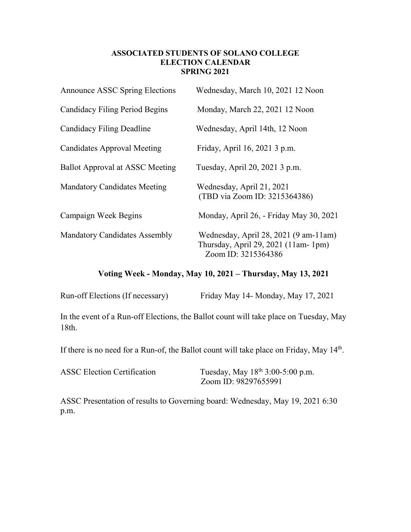# **ASSOCIATED STUDENTS OF SOLANO COLLEGE ELECTION CALENDAR SPRING 2021**

| <b>Announce ASSC Spring Elections</b>  | Wednesday, March 10, 2021 12 Noon                                                                    |
|----------------------------------------|------------------------------------------------------------------------------------------------------|
| <b>Candidacy Filing Period Begins</b>  | Monday, March 22, 2021 12 Noon                                                                       |
| Candidacy Filing Deadline              | Wednesday, April 14th, 12 Noon                                                                       |
| <b>Candidates Approval Meeting</b>     | Friday, April 16, 2021 3 p.m.                                                                        |
| <b>Ballot Approval at ASSC Meeting</b> | Tuesday, April 20, 2021 3 p.m.                                                                       |
| <b>Mandatory Candidates Meeting</b>    | Wednesday, April 21, 2021<br>(TBD via Zoom ID: 3215364386)                                           |
| Campaign Week Begins                   | Monday, April 26, - Friday May 30, 2021                                                              |
| <b>Mandatory Candidates Assembly</b>   | Wednesday, April 28, 2021 (9 am-11 am)<br>Thursday, April 29, 2021 (11am-1pm)<br>Zoom ID: 3215364386 |

# **Voting Week - Monday, May 10, 2021 – Thursday, May 13, 2021**

| Run-off Elections (If necessary) | Friday May 14- Monday, May 17, 2021 |  |
|----------------------------------|-------------------------------------|--|
|                                  |                                     |  |

In the event of a Run-off Elections, the Ballot count will take place on Tuesday, May 18th.

If there is no need for a Run-of, the Ballot count will take place on Friday, May 14th.

| <b>ASSC Election Certification</b> | Tuesday, May 18 <sup>th</sup> 3:00-5:00 p.m. |
|------------------------------------|----------------------------------------------|
|                                    | Zoom ID: 98297655991                         |

ASSC Presentation of results to Governing board: Wednesday, May 19, 2021 6:30 p.m.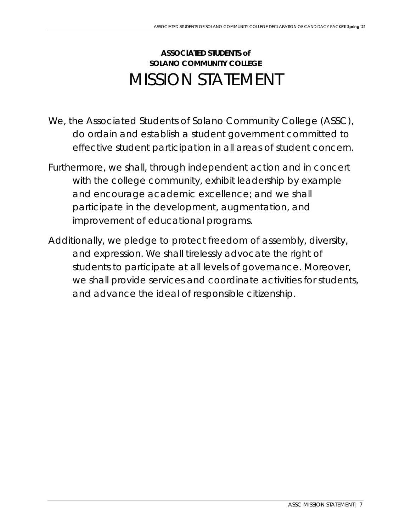# **ASSOCIATED STUDENTS** *of* **SOLANO COMMUNITY COLLEGE** MISSION STATEMENT

- *We, the Associated Students of Solano Community College (ASSC),* do ordain and establish a student government committed to effective student participation in all areas of student concern.
- Furthermore, we shall, through independent action and in concert with the college community, exhibit leadership by example and encourage academic excellence; and we shall participate in the development, augmentation, and improvement of educational programs.
- Additionally, we pledge to protect freedom of assembly, diversity, and expression. We shall tirelessly advocate the right of students to participate at all levels of governance. Moreover, we shall provide services and coordinate activities for students, and advance the ideal of responsible citizenship.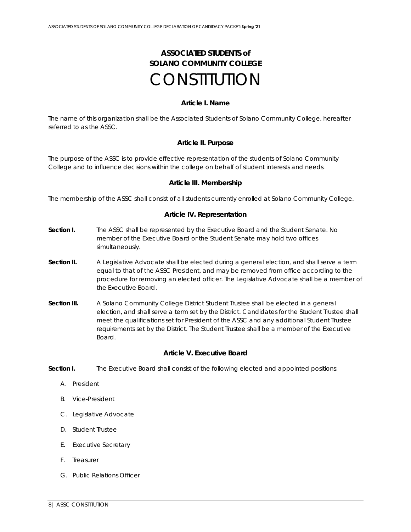# **ASSOCIATED STUDENTS** *of* **SOLANO COMMUNITY COLLEGE CONSTITUTION**

#### **Article I. Name**

The name of this organization shall be the Associated Students of Solano Community College, hereafter referred to as the ASSC.

# **Article II. Purpose**

The purpose of the ASSC is to provide effective representation of the students of Solano Community College and to influence decisions within the college on behalf of student interests and needs.

#### **Article III. Membership**

The membership of the ASSC shall consist of all students currently enrolled at Solano Community College.

#### **Article IV. Representation**

- **Section I.** The ASSC shall be represented by the Executive Board and the Student Senate. No member of the Executive Board or the Student Senate may hold two offices simultaneously.
- **Section II.** A Legislative Advocate shall be elected during a general election, and shall serve a term equal to that of the ASSC President, and may be removed from office according to the procedure for removing an elected officer. The Legislative Advocate shall be a member of the Executive Board.
- **Section III.** A Solano Community College District Student Trustee shall be elected in a general election, and shall serve a term set by the District. Candidates for the Student Trustee shall meet the qualifications set for President of the ASSC and any additional Student Trustee requirements set by the District. The Student Trustee shall be a member of the Executive Board.

#### **Article V. Executive Board**

**Section I.** The Executive Board shall consist of the following elected and appointed positions:

- A. President
- B. Vice-President
- C. Legislative Advocate
- D. Student Trustee
- E. Executive Secretary
- F. Treasurer
- G. Public Relations Officer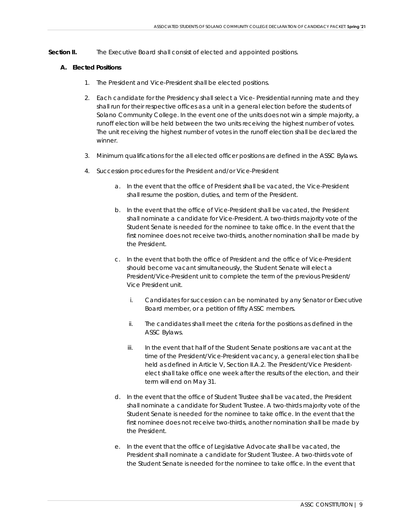**Section II.** The Executive Board shall consist of elected and appointed positions.

#### **A. Elected Positions**

- 1. The President and Vice-President shall be elected positions.
- 2. Each candidate for the Presidency shall select a Vice- Presidential running mate and they shall run for their respective offices as a unit in a general election before the students of Solano Community College. In the event one of the units does not win a simple majority, a runoff election will be held between the two units receiving the highest number of votes. The unit receiving the highest number of votes in the runoff election shall be declared the winner.
- 3. Minimum qualifications for the all elected officer positions are defined in the ASSC Bylaws.
- 4. Succession procedures for the President and/or Vice-President
	- a. In the event that the office of President shall be vacated, the Vice-President shall resume the position, duties, and term of the President.
	- b. In the event that the office of Vice-President shall be vacated, the President shall nominate a candidate for Vice-President. A two-thirds majority vote of the Student Senate is needed for the nominee to take office. In the event that the first nominee does not receive two-thirds, another nomination shall be made by the President.
	- c. In the event that both the office of President and the office of Vice-President should become vacant simultaneously, the Student Senate will elect a President/Vice-President unit to complete the term of the previous President/ Vice President unit.
		- i. Candidates for succession can be nominated by any Senator or Executive Board member, or a petition of fifty ASSC members.
		- ii. The candidates shall meet the criteria for the positions as defined in the ASSC Bylaws.
		- iii. In the event that half of the Student Senate positions are vacant at the time of the President/Vice-President vacancy, a general election shall be held as defined in Article V, Section II.A.2. The President/Vice Presidentelect shall take office one week after the results of the election, and their term will end on May 31.
	- d. In the event that the office of Student Trustee shall be vacated, the President shall nominate a candidate for Student Trustee. A two-thirds majority vote of the Student Senate is needed for the nominee to take office. In the event that the first nominee does not receive two-thirds, another nomination shall be made by the President.
	- e. In the event that the office of Legislative Advocate shall be vacated, the President shall nominate a candidate for Student Trustee. A two-thirds vote of the Student Senate is needed for the nominee to take office. In the event that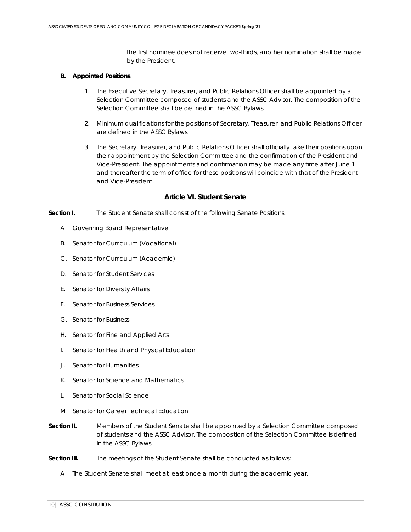the first nominee does not receive two-thirds, another nomination shall be made by the President.

#### **B. Appointed Positions**

- 1. The Executive Secretary, Treasurer, and Public Relations Officer shall be appointed by a Selection Committee composed of students and the ASSC Advisor. The composition of the Selection Committee shall be defined in the ASSC Bylaws.
- 2. Minimum qualifications for the positions of Secretary, Treasurer, and Public Relations Officer are defined in the ASSC Bylaws.
- 3. The Secretary, Treasurer, and Public Relations Officer shall officially take their positions upon their appointment by the Selection Committee and the confirmation of the President and Vice-President. The appointments and confirmation may be made any time after June 1 and thereafter the term of office for these positions will coincide with that of the President and Vice-President.

#### **Article VI. Student Senate**

- **Section I.** The Student Senate shall consist of the following Senate Positions:
	- A. Governing Board Representative
	- B. Senator for Curriculum (Vocational)
	- C. Senator for Curriculum (Academic)
	- D. Senator for Student Services
	- E. Senator for Diversity Affairs
	- F. Senator for Business Services
	- G. Senator for Business
	- H. Senator for Fine and Applied Arts
	- I. Senator for Health and Physical Education
	- J. Senator for Humanities
	- K. Senator for Science and Mathematics
	- L. Senator for Social Science
	- M. Senator for Career Technical Education
- **Section II.** Members of the Student Senate shall be appointed by a Selection Committee composed of students and the ASSC Advisor. The composition of the Selection Committee is defined in the ASSC Bylaws.
- **Section III.** The meetings of the Student Senate shall be conducted as follows:
	- A. The Student Senate shall meet at least once a month during the academic year.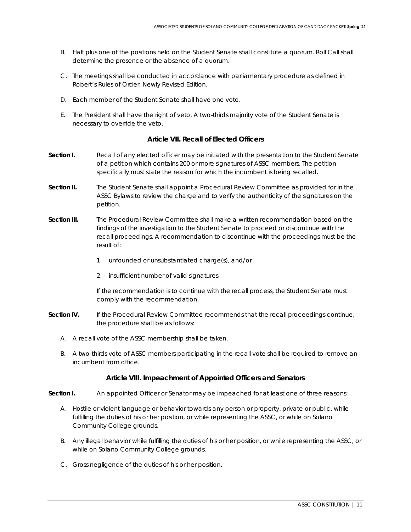- B. Half plus one of the positions held on the Student Senate shall constitute a quorum. Roll Call shall determine the presence or the absence of a quorum.
- C. The meetings shall be conducted in accordance with parliamentary procedure as defined in *Robert's Rules of Order, Newly Revised Edition*.
- D. Each member of the Student Senate shall have one vote.
- E. The President shall have the right of veto. A two-thirds majority vote of the Student Senate is necessary to override the veto.

# **Article VII. Recall of Elected Officers**

- **Section I.** Recall of any elected officer may be initiated with the presentation to the Student Senate of a petition which contains 200 or more signatures of ASSC members. The petition specifically must state the reason for which the incumbent is being recalled.
- **Section II.** The Student Senate shall appoint a Procedural Review Committee as provided for in the ASSC Bylaws to review the charge and to verify the authenticity of the signatures on the petition.
- **Section III.** The Procedural Review Committee shall make a written recommendation based on the findings of the investigation to the Student Senate to proceed or discontinue with the recall proceedings. A recommendation to discontinue with the proceedings must be the result of:
	- 1. unfounded or unsubstantiated charge(s), and/or
	- 2. insufficient number of valid signatures.

If the recommendation is to continue with the recall process, the Student Senate must comply with the recommendation.

- **Section IV.** If the Procedural Review Committee recommends that the recall proceedings continue, the procedure shall be as follows:
	- A. A recall vote of the ASSC membership shall be taken.
	- B. A two-thirds vote of ASSC members participating in the recall vote shall be required to remove an incumbent from office.

# **Article VIII. Impeachment of Appointed Officers and Senators**

**Section I.** An appointed Officer or Senator may be impeached for at least one of three reasons:

- A. Hostile or violent language or behavior towards any person or property, private or public, while fulfilling the duties of his or her position, or while representing the ASSC, or while on Solano Community College grounds.
- B. Any illegal behavior while fulfilling the duties of his or her position, or while representing the ASSC, or while on Solano Community College grounds.
- C. Gross negligence of the duties of his or her position.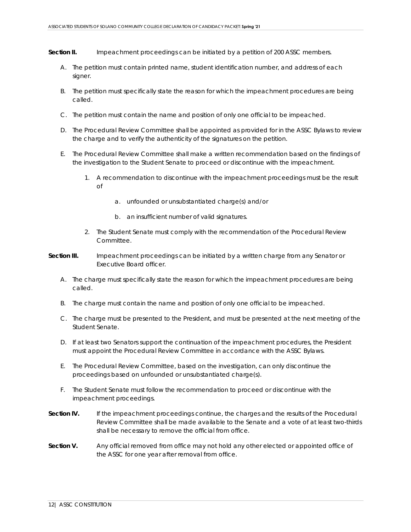**Section II.** Impeachment proceedings can be initiated by a petition of 200 ASSC members.

- A. The petition must contain printed name, student identification number, and address of each signer.
- B. The petition must specifically state the reason for which the impeachment procedures are being called.
- C. The petition must contain the name and position of only one official to be impeached.
- D. The Procedural Review Committee shall be appointed as provided for in the ASSC Bylaws to review the charge and to verify the authenticity of the signatures on the petition.
- E. The Procedural Review Committee shall make a written recommendation based on the findings of the investigation to the Student Senate to proceed or discontinue with the impeachment.
	- 1. A recommendation to discontinue with the impeachment proceedings must be the result of
		- a. unfounded or unsubstantiated charge(s) and/or
		- b. an insufficient number of valid signatures.
	- 2. The Student Senate must comply with the recommendation of the Procedural Review Committee.
- **Section III.** Impeachment proceedings can be initiated by a written charge from any Senator or Executive Board officer.
	- A. The charge must specifically state the reason for which the impeachment procedures are being called.
	- B. The charge must contain the name and position of only one official to be impeached.
	- C. The charge must be presented to the President, and must be presented at the next meeting of the Student Senate.
	- D. If at least two Senators support the continuation of the impeachment procedures, the President must appoint the Procedural Review Committee in accordance with the ASSC Bylaws.
	- E. The Procedural Review Committee, based on the investigation, can only discontinue the proceedings based on unfounded or unsubstantiated charge(s).
	- F. The Student Senate must follow the recommendation to proceed or discontinue with the impeachment proceedings.
- **Section IV.** If the impeachment proceedings continue, the charges and the results of the Procedural Review Committee shall be made available to the Senate and a vote of at least two-thirds shall be necessary to remove the official from office.
- **Section V.** Any official removed from office may not hold any other elected or appointed office of the ASSC for one year after removal from office.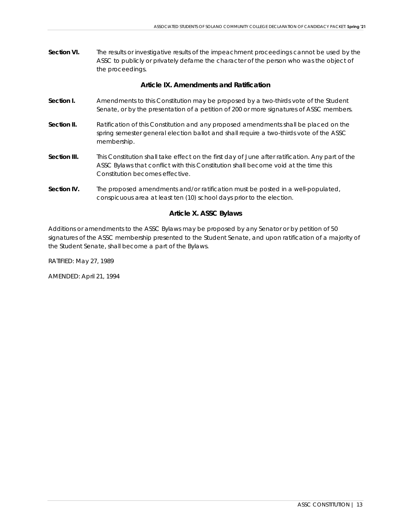**Section VI.** The results or investigative results of the impeachment proceedings cannot be used by the ASSC to publicly or privately defame the character of the person who was the object of the proceedings.

# **Article IX. Amendments and Ratification**

- **Section I.** Amendments to this Constitution may be proposed by a two-thirds vote of the Student Senate, or by the presentation of a petition of 200 or more signatures of ASSC members.
- **Section II.** Ratification of this Constitution and any proposed amendments shall be placed on the spring semester general election ballot and shall require a two-thirds vote of the ASSC membership.
- **Section III.** This Constitution shall take effect on the first day of June after ratification. Any part of the ASSC Bylaws that conflict with this Constitution shall become void at the time this Constitution becomes effective.
- **Section IV.** The proposed amendments and/or ratification must be posted in a well-populated, conspicuous area at least ten (10) school days prior to the election.

# **Article X. ASSC Bylaws**

Additions or amendments to the ASSC Bylaws may be proposed by any Senator or by petition of 50 signatures of the ASSC membership presented to the Student Senate, and upon ratification of a majority of the Student Senate, shall become a part of the Bylaws.

RATIFIED: May 27, 1989

AMENDED: April 21, 1994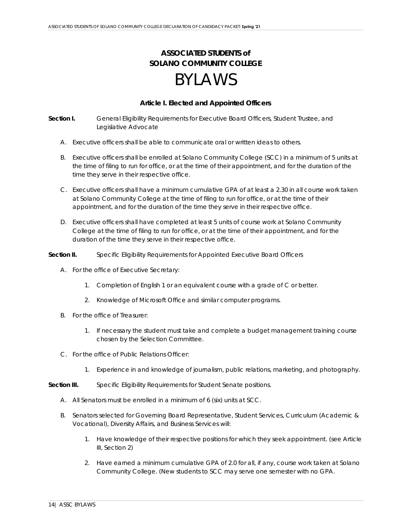# **ASSOCIATED STUDENTS** *of* **SOLANO COMMUNITY COLLEGE**

# BYLAWS

# **Article I. Elected and Appointed Officers**

**Section I.** General Eligibility Requirements for Executive Board Officers, Student Trustee, and Legislative Advocate

- A. Executive officers shall be able to communicate oral or written ideas to others.
- B. Executive officers shall be enrolled at Solano Community College (SCC) in a minimum of 5 units at the time of filing to run for office, or at the time of their appointment, and for the duration of the time they serve in their respective office.
- C. Executive officers shall have a minimum cumulative GPA of at least a 2.30 in all course work taken at Solano Community College at the time of filing to run for office, or at the time of their appointment, and for the duration of the time they serve in their respective office.
- D. Executive officers shall have completed at least 5 units of course work at Solano Community College at the time of filing to run for office, or at the time of their appointment, and for the duration of the time they serve in their respective office.

#### **Section II.** Specific Eligibility Requirements for Appointed Executive Board Officers

- A. For the office of Executive Secretary:
	- 1. Completion of English 1 or an equivalent course with a grade of C or better.
	- 2. Knowledge of Microsoft Office and similar computer programs.
- B. For the office of Treasurer:
	- 1. If necessary the student must take and complete a budget management training course chosen by the Selection Committee.
- C. For the office of Public Relations Officer:
	- 1. Experience in and knowledge of journalism, public relations, marketing, and photography.
- **Section III.** Specific Eligibility Requirements for Student Senate positions.
	- A. All Senators must be enrolled in a minimum of 6 (six) units at SCC.
	- B. Senators selected for Governing Board Representative, Student Services, Curriculum (Academic & Vocational), Diversity Affairs, and Business Services will:
		- 1. Have knowledge of their respective positions for which they seek appointment. (see Article III, Section 2)
		- 2. Have earned a minimum cumulative GPA of 2.0 for all, if any, course work taken at Solano Community College. (New students to SCC may serve one semester with no GPA.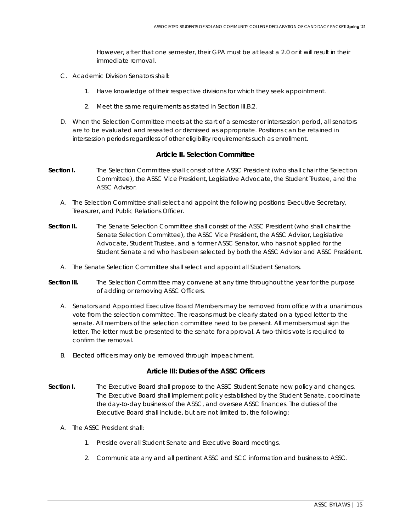However, after that one semester, their GPA must be at least a 2.0 or it will result in their immediate removal.

- C. Academic Division Senators shall:
	- 1. Have knowledge of their respective divisions for which they seek appointment.
	- 2. Meet the same requirements as stated in Section III.B.2.
- D. When the Selection Committee meets at the start of a semester or intersession period, all senators are to be evaluated and reseated or dismissed as appropriate. Positions can be retained in intersession periods regardless of other eligibility requirements such as enrollment.

#### **Article II. Selection Committee**

- **Section I.** The Selection Committee shall consist of the ASSC President (who shall chair the Selection Committee), the ASSC Vice President, Legislative Advocate, the Student Trustee, and the ASSC Advisor.
	- A. The Selection Committee shall select and appoint the following positions: Executive Secretary, Treasurer, and Public Relations Officer.
- **Section II.** The Senate Selection Committee shall consist of the ASSC President (who shall chair the Senate Selection Committee), the ASSC Vice President, the ASSC Advisor, Legislative Advocate, Student Trustee, and a former ASSC Senator, who has not applied for the Student Senate and who has been selected by both the ASSC Advisor and ASSC President.
	- A. The Senate Selection Committee shall select and appoint all Student Senators.
- **Section III.** The Selection Committee may convene at any time throughout the year for the purpose of adding or removing ASSC Officers.
	- A. Senators and Appointed Executive Board Members may be removed from office with a unanimous vote from the selection committee. The reasons must be clearly stated on a typed letter to the senate. All members of the selection committee need to be present. All members must sign the letter. The letter must be presented to the senate for approval. A two-thirds vote is required to confirm the removal.
	- B. Elected officers may only be removed through impeachment.

# **Article III: Duties of the ASSC Officers**

- **Section I.** The Executive Board shall propose to the ASSC Student Senate new policy and changes. The Executive Board shall implement policy established by the Student Senate, coordinate the day-to-day business of the ASSC, and oversee ASSC finances. The duties of the Executive Board shall include, but are not limited to, the following:
	- A. The ASSC President shall:
		- 1. Preside over all Student Senate and Executive Board meetings.
		- 2. Communicate any and all pertinent ASSC and SCC information and business to ASSC.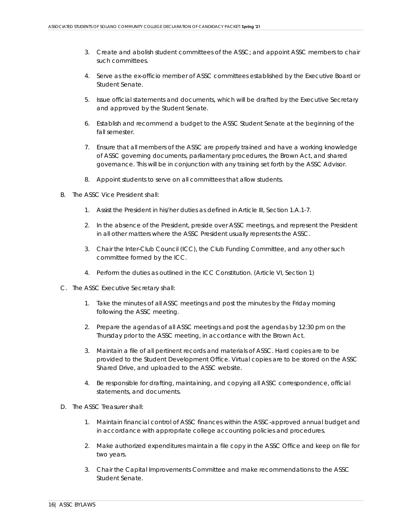- 3. Create and abolish student committees of the ASSC; and appoint ASSC members to chair such committees.
- 4. Serve as the ex-officio member of ASSC committees established by the Executive Board or Student Senate.
- 5. Issue official statements and documents, which will be drafted by the Executive Secretary and approved by the Student Senate.
- 6. Establish and recommend a budget to the ASSC Student Senate at the beginning of the fall semester.
- 7. Ensure that all members of the ASSC are properly trained and have a working knowledge of ASSC governing documents, parliamentary procedures, the Brown Act, and shared governance. This will be in conjunction with any training set forth by the ASSC Advisor.
- 8. Appoint students to serve on all committees that allow students.
- B. The ASSC Vice President shall:
	- 1. Assist the President in his/her duties as defined in Article III, Section 1.A.1-7.
	- 2. In the absence of the President, preside over ASSC meetings, and represent the President in all other matters where the ASSC President usually represents the ASSC.
	- 3. Chair the Inter-Club Council (ICC), the Club Funding Committee, and any other such committee formed by the ICC.
	- 4. Perform the duties as outlined in the ICC Constitution. (Article VI, Section 1)
- C. The ASSC Executive Secretary shall:
	- 1. Take the minutes of all ASSC meetings and post the minutes by the Friday morning following the ASSC meeting.
	- 2. Prepare the agendas of all ASSC meetings and post the agendas by 12:30 pm on the Thursday prior to the ASSC meeting, in accordance with the Brown Act.
	- 3. Maintain a file of all pertinent records and materials of ASSC. Hard copies are to be provided to the Student Development Office. Virtual copies are to be stored on the ASSC Shared Drive, and uploaded to the ASSC website.
	- 4. Be responsible for drafting, maintaining, and copying all ASSC correspondence, official statements, and documents.
- D. The ASSC Treasurer shall:
	- 1. Maintain financial control of ASSC finances within the ASSC-approved annual budget and in accordance with appropriate college accounting policies and procedures.
	- 2. Make authorized expenditures maintain a file copy in the ASSC Office and keep on file for two years.
	- 3. Chair the Capital Improvements Committee and make recommendations to the ASSC Student Senate.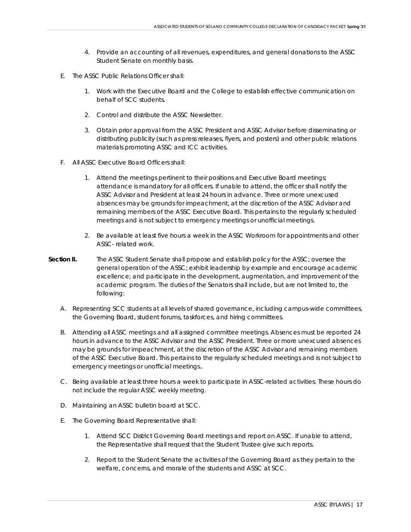- 4. Provide an accounting of all revenues, expenditures, and general donations to the ASSC Student Senate on monthly basis.
- E. The ASSC Public Relations Officer shall:
	- 1. Work with the Executive Board and the College to establish effective communication on behalf of SCC students.
	- 2. Control and distribute the ASSC Newsletter.
	- 3. Obtain prior approval from the ASSC President and ASSC Advisor before disseminating or distributing publicity (such as press releases, flyers, and posters) and other public relations materials promoting ASSC and ICC activities.
- F. All ASSC Executive Board Officers shall:
	- 1. Attend the meetings pertinent to their positions and Executive Board meetings; attendance is mandatory for all officers. If unable to attend, the officer shall notify the ASSC Advisor and President at least 24 hours in advance. Three or more unexcused absences may be grounds for impeachment, at the discretion of the ASSC Advisor and remaining members of the ASSC Executive Board. This pertains to the regularly scheduled meetings and is not subject to emergency meetings or unofficial meetings.
	- 2. Be available at least five hours a week in the ASSC Workroom for appointments and other ASSC- related work.
- **Section II.** The ASSC Student Senate shall propose and establish policy for the ASSC; oversee the general operation of the ASSC; exhibit leadership by example and encourage academic excellence; and participate in the development, augmentation, and improvement of the academic program. The duties of the Senators shall include, but are not limited to, the following:
	- A. Representing SCC students at all levels of shared governance, including campus-wide committees, the Governing Board, student forums, taskforces, and hiring committees.
	- B. Attending all ASSC meetings and all assigned committee meetings. Absences must be reported 24 hours in advance to the ASSC Advisor and the ASSC President. Three or more unexcused absences may be grounds for impeachment, at the discretion of the ASSC Advisor and remaining members of the ASSC Executive Board. This pertains to the regularly scheduled meetings and is not subject to emergency meetings or unofficial meetings..
	- C. Being available at least three hours a week to participate in ASSC-related activities. These hours do not include the regular ASSC weekly meeting.
	- D. Maintaining an ASSC bulletin board at SCC.
	- E. The Governing Board Representative shall:
		- 1. Attend SCC District Governing Board meetings and report on ASSC. If unable to attend, the Representative shall request that the Student Trustee give such reports.
		- 2. Report to the Student Senate the activities of the Governing Board as they pertain to the welfare, concerns, and morale of the students and ASSC at SCC.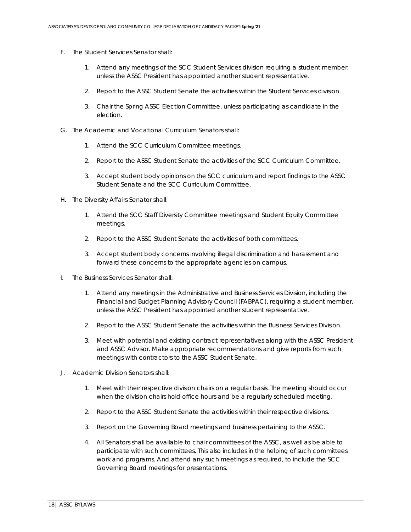- F. The Student Services Senator shall:
	- 1. Attend any meetings of the SCC Student Services division requiring a student member, unless the ASSC President has appointed another student representative.
	- 2. Report to the ASSC Student Senate the activities within the Student Services division.
	- 3. Chair the Spring ASSC Election Committee, unless participating as candidate in the election.
- G. The Academic and Vocational Curriculum Senators shall:
	- 1. Attend the SCC Curriculum Committee meetings.
	- 2. Report to the ASSC Student Senate the activities of the SCC Curriculum Committee.
	- 3. Accept student body opinions on the SCC curriculum and report findings to the ASSC Student Senate and the SCC Curriculum Committee.
- H. The Diversity Affairs Senator shall:
	- 1. Attend the SCC Staff Diversity Committee meetings and Student Equity Committee meetings.
	- 2. Report to the ASSC Student Senate the activities of both committees.
	- 3. Accept student body concerns involving illegal discrimination and harassment and forward these concerns to the appropriate agencies on campus.
- I. The Business Services Senator shall:
	- 1. Attend any meetings in the Administrative and Business Services Division, including the Financial and Budget Planning Advisory Council (FABPAC), requiring a student member, unless the ASSC President has appointed another student representative.
	- 2. Report to the ASSC Student Senate the activities within the Business Services Division.
	- 3. Meet with potential and existing contract representatives along with the ASSC President and ASSC Advisor. Make appropriate recommendations and give reports from such meetings with contractors to the ASSC Student Senate.
- J. Academic Division Senators shall:
	- 1. Meet with their respective division chairs on a regular basis. The meeting should occur when the division chairs hold office hours and be a regularly scheduled meeting.
	- 2. Report to the ASSC Student Senate the activities within their respective divisions.
	- 3. Report on the Governing Board meetings and business pertaining to the ASSC.
	- 4. All Senators shall be available to chair committees of the ASSC, as well as be able to participate with such committees. This also includes in the helping of such committees work and programs. And attend any such meetings as required, to include the SCC Governing Board meetings for presentations.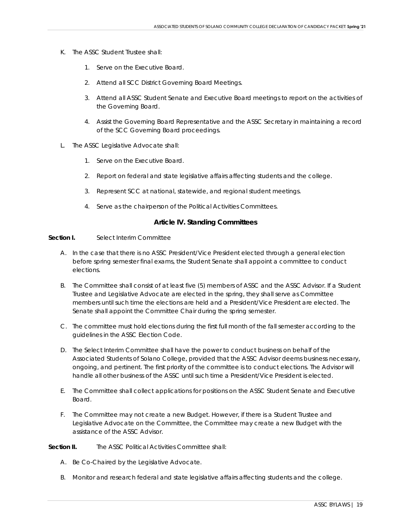- K. The ASSC Student Trustee shall:
	- 1. Serve on the Executive Board.
	- 2. Attend all SCC District Governing Board Meetings.
	- 3. Attend all ASSC Student Senate and Executive Board meetings to report on the activities of the Governing Board.
	- 4. Assist the Governing Board Representative and the ASSC Secretary in maintaining a record of the SCC Governing Board proceedings.
- L. The ASSC Legislative Advocate shall:
	- 1. Serve on the Executive Board.
	- 2. Report on federal and state legislative affairs affecting students and the college.
	- 3. Represent SCC at national, statewide, and regional student meetings.
	- 4. Serve as the chairperson of the Political Activities Committees.

#### **Article IV. Standing Committees**

#### **Section I.** Select Interim Committee

- A. In the case that there is no ASSC President/Vice President elected through a general election before spring semester final exams, the Student Senate shall appoint a committee to conduct elections.
- B. The Committee shall consist of at least five (5) members of ASSC and the ASSC Advisor. If a Student Trustee and Legislative Advocate are elected in the spring, they shall serve as Committee members until such time the elections are held and a President/Vice President are elected. The Senate shall appoint the Committee Chair during the spring semester.
- C. The committee must hold elections during the first full month of the fall semester according to the guidelines in the ASSC Election Code.
- D. The Select Interim Committee shall have the power to conduct business on behalf of the Associated Students of Solano College, provided that the ASSC Advisor deems business necessary, ongoing, and pertinent. The first priority of the committee is to conduct elections. The Advisor will handle all other business of the ASSC until such time a President/Vice President is elected.
- E. The Committee shall collect applications for positions on the ASSC Student Senate and Executive Board.
- F. The Committee may not create a new Budget. However, if there is a Student Trustee and Legislative Advocate on the Committee, the Committee may create a new Budget with the assistance of the ASSC Advisor.

**Section II.** The ASSC Political Activities Committee shall:

- A. Be Co-Chaired by the Legislative Advocate.
- B. Monitor and research federal and state legislative affairs affecting students and the college.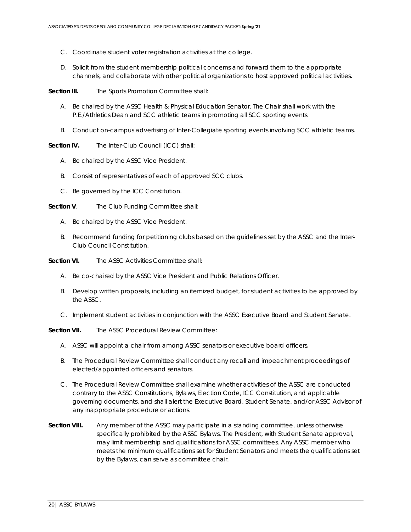- C. Coordinate student voter registration activities at the college.
- D. Solicit from the student membership political concerns and forward them to the appropriate channels, and collaborate with other political organizations to host approved political activities.

**Section III.** The Sports Promotion Committee shall:

- A. Be chaired by the ASSC Health & Physical Education Senator. The Chair shall work with the P.E./Athletics Dean and SCC athletic teams in promoting all SCC sporting events.
- B. Conduct on-campus advertising of Inter-Collegiate sporting events involving SCC athletic teams.

**Section IV.** The Inter-Club Council (ICC) shall:

- A. Be chaired by the ASSC Vice President.
- B. Consist of representatives of each of approved SCC clubs.
- C. Be governed by the ICC Constitution.

**Section V**. The Club Funding Committee shall:

- A. Be chaired by the ASSC Vice President.
- B. Recommend funding for petitioning clubs based on the guidelines set by the ASSC and the Inter-Club Council Constitution.

**Section VI.** The ASSC Activities Committee shall:

- A. Be co-chaired by the ASSC Vice President and Public Relations Officer.
- B. Develop written proposals, including an itemized budget, for student activities to be approved by the ASSC.
- C. Implement student activities in conjunction with the ASSC Executive Board and Student Senate.

**Section VII.** The ASSC Procedural Review Committee:

- A. ASSC will appoint a chair from among ASSC senators or executive board officers.
- B. The Procedural Review Committee shall conduct any recall and impeachment proceedings of elected/appointed officers and senators.
- C. The Procedural Review Committee shall examine whether activities of the ASSC are conducted contrary to the ASSC Constitutions, Bylaws, Election Code, ICC Constitution, and applicable governing documents, and shall alert the Executive Board, Student Senate, and/or ASSC Advisor of any inappropriate procedure or actions.
- **Section VIII.** Any member of the ASSC may participate in a standing committee, unless otherwise specifically prohibited by the ASSC Bylaws. The President, with Student Senate approval, may limit membership and qualifications for ASSC committees. Any ASSC member who meets the minimum qualifications set for Student Senators and meets the qualifications set by the Bylaws, can serve as committee chair.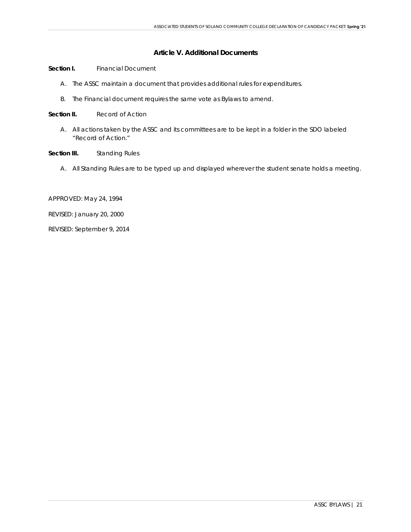# **Article V. Additional Documents**

- **Section I.** Financial Document
	- A. The ASSC maintain a document that provides additional rules for expenditures.
	- B. The Financial document requires the same vote as Bylaws to amend.
- **Section II.** Record of Action
	- A. All actions taken by the ASSC and its committees are to be kept in a folder in the SDO labeled "Record of Action."
- **Section III.** Standing Rules
	- A. All Standing Rules are to be typed up and displayed wherever the student senate holds a meeting.
- APPROVED: May 24, 1994
- REVISED: January 20, 2000
- REVISED: September 9, 2014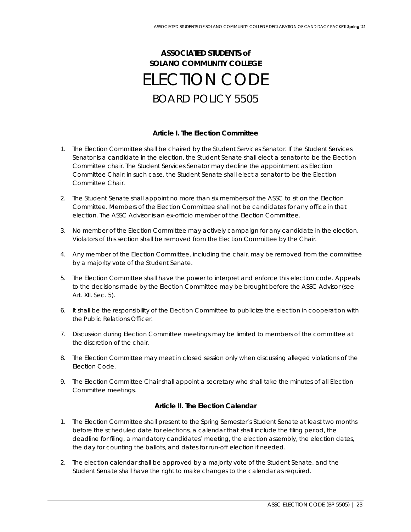# **ASSOCIATED STUDENTS** *of* **SOLANO COMMUNITY COLLEGE** ELECTION CODE BOARD POLICY 5505

# **Article I. The Election Committee**

- 1. The Election Committee shall be chaired by the Student Services Senator. If the Student Services Senator is a candidate in the election, the Student Senate shall elect a senator to be the Election Committee chair. The Student Services Senator may decline the appointment as Election Committee Chair; in such case, the Student Senate shall elect a senator to be the Election Committee Chair.
- 2. The Student Senate shall appoint no more than six members of the ASSC to sit on the Election Committee. Members of the Election Committee shall not be candidates for any office in that election. The ASSC Advisor is an ex-officio member of the Election Committee.
- 3. No member of the Election Committee may actively campaign for any candidate in the election. Violators of this section shall be removed from the Election Committee by the Chair.
- 4. Any member of the Election Committee, including the chair, may be removed from the committee by a majority vote of the Student Senate.
- 5. The Election Committee shall have the power to interpret and enforce this election code. Appeals to the decisions made by the Election Committee may be brought before the ASSC Advisor (see Art. XII. Sec. 5).
- 6. It shall be the responsibility of the Election Committee to publicize the election in cooperation with the Public Relations Officer.
- 7. Discussion during Election Committee meetings may be limited to members of the committee at the discretion of the chair.
- 8. The Election Committee may meet in closed session only when discussing alleged violations of the Election Code.
- 9. The Election Committee Chair shall appoint a secretary who shall take the minutes of all Election Committee meetings.

# **Article II. The Election Calendar**

- 1. The Election Committee shall present to the Spring Semester's Student Senate at least two months before the scheduled date for elections, a calendar that shall include the filing period, the deadline for filing, a mandatory candidates' meeting, the election assembly, the election dates, the day for counting the ballots, and dates for run-off election if needed.
- 2. The election calendar shall be approved by a majority vote of the Student Senate, and the Student Senate shall have the right to make changes to the calendar as required.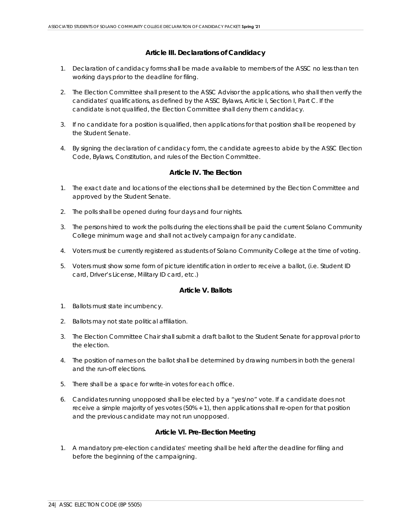# **Article III. Declarations of Candidacy**

- 1. Declaration of candidacy forms shall be made available to members of the ASSC no less than ten working days prior to the deadline for filing.
- 2. The Election Committee shall present to the ASSC Advisor the applications, who shall then verify the candidates' qualifications, as defined by the ASSC Bylaws, Article I, Section I, Part C. If the candidate is not qualified, the Election Committee shall deny them candidacy.
- 3. If no candidate for a position is qualified, then applications for that position shall be reopened by the Student Senate.
- 4. By signing the declaration of candidacy form, the candidate agrees to abide by the ASSC Election Code, Bylaws, Constitution, and rules of the Election Committee.

# **Article IV. The Election**

- 1. The exact date and locations of the elections shall be determined by the Election Committee and approved by the Student Senate.
- 2. The polls shall be opened during four days and four nights.
- 3. The persons hired to work the polls during the elections shall be paid the current Solano Community College minimum wage and shall not actively campaign for any candidate.
- 4. Voters must be currently registered as students of Solano Community College at the time of voting.
- 5. Voters must show some form of picture identification in order to receive a ballot, (i.e. Student ID card, Driver's License, Military ID card, etc.)

# **Article V. Ballots**

- 1. Ballots must state incumbency.
- 2. Ballots may not state political affiliation.
- 3. The Election Committee Chair shall submit a draft ballot to the Student Senate for approval prior to the election.
- 4. The position of names on the ballot shall be determined by drawing numbers in both the general and the run-off elections.
- 5. There shall be a space for write-in votes for each office.
- 6. Candidates running unopposed shall be elected by a "yes/no" vote. If a candidate does not receive a simple majority of yes votes (50% + 1), then applications shall re-open for that position and the previous candidate may not run unopposed.

# **Article VI. Pre-Election Meeting**

1. A mandatory pre-election candidates' meeting shall be held after the deadline for filing and before the beginning of the campaigning.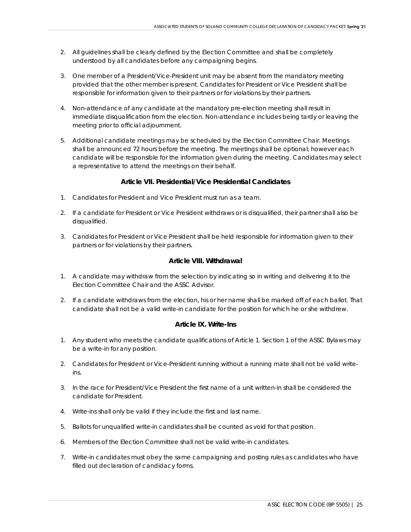- 2. All guidelines shall be clearly defined by the Election Committee and shall be completely understood by all candidates before any campaigning begins.
- 3. One member of a President/Vice-President unit may be absent from the mandatory meeting provided that the other member is present. Candidates for President or Vice President shall be responsible for information given to their partners or for violations by their partners.
- 4. Non-attendance of any candidate at the mandatory pre-election meeting shall result in immediate disqualification from the election. Non-attendance includes being tardy or leaving the meeting prior to official adjournment.
- 5. Additional candidate meetings may be scheduled by the Election Committee Chair. Meetings shall be announced 72 hours before the meeting. The meetings shall be optional; however each candidate will be responsible for the information given during the meeting. Candidates may select a representative to attend the meetings on their behalf.

# **Article VII. Presidential/Vice Presidential Candidates**

- 1. Candidates for President and Vice President must run as a team.
- 2. If a candidate for President or Vice President withdraws or is disqualified, their partner shall also be disqualified.
- 3. Candidates for President or Vice President shall be held responsible for information given to their partners or for violations by their partners.

# **Article VIII. Withdrawal**

- 1. A candidate may withdraw from the selection by indicating so in writing and delivering it to the Election Committee Chair and the ASSC Advisor.
- 2. If a candidate withdraws from the election, his or her name shall be marked off of each ballot. That candidate shall not be a valid write-in candidate for the position for which he or she withdrew.

#### **Article IX. Write-Ins**

- 1. Any student who meets the candidate qualifications of Article 1. Section 1 of the ASSC Bylaws may be a write-in for any position.
- 2. Candidates for President or Vice-President running without a running mate shall not be valid writeins.
- 3. In the race for President/Vice President the first name of a unit written-in shall be considered the candidate for President.
- 4. Write-ins shall only be valid if they include the first and last name.
- 5. Ballots for unqualified write-in candidates shall be counted as void for that position.
- 6. Members of the Election Committee shall not be valid write-in candidates.
- 7. Write-in candidates must obey the same campaigning and posting rules as candidates who have filled out declaration of candidacy forms.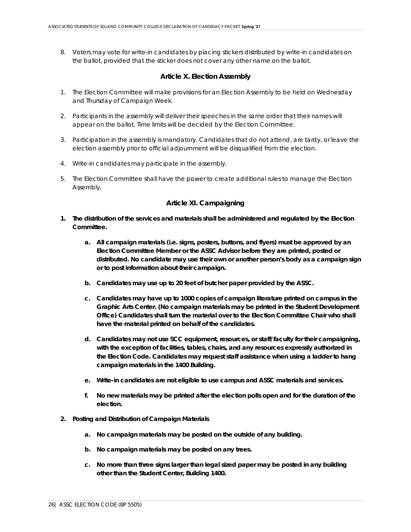8. Voters may vote for write-in candidates by placing stickers distributed by write-in candidates on the ballot, provided that the sticker does not cover any other name on the ballot.

#### **Article X. Election Assembly**

- 1. The Election Committee will make provisions for an Election Assembly to be held on Wednesday and Thursday of Campaign Week.
- 2. Participants in the assembly will deliver their speeches in the same order that their names will appear on the ballot. Time limits will be decided by the Election Committee.
- 3. Participation in the assembly is mandatory. Candidates that do not attend, are tardy, or leave the election assembly prior to official adjournment will be disqualified from the election.
- 4. Write-in candidates may participate in the assembly.
- 5. The Election Committee shall have the power to create additional rules to manage the Election Assembly.

# **Article XI. Campaigning**

- **1. The distribution of the services and materials shall be administered and regulated by the Election Committee.**
	- **a. All campaign materials (i.e. signs, posters, buttons, and flyers) must be approved by an Election Committee Member or the ASSC Advisor before they are printed, posted or distributed. No candidate may use their own or another person's body as a campaign sign or to post information about their campaign.**
	- **b. Candidates may use up to 20 feet of butcher paper provided by the ASSC.**
	- **c. Candidates may have up to 1000 copies of campaign literature printed on campus in the Graphic Arts Center. (No campaign materials may be printed in the Student Development Office) Candidates shall turn the material over to the Election Committee Chair who shall have the material printed on behalf of the candidates.**
	- **d. Candidates may not use SCC equipment, resources, or staff/faculty for their campaigning, with the exception of facilities, tables, chairs, and any resources expressly authorized in the Election Code. Candidates may request staff assistance when using a ladder to hang campaign materials in the 1400 Building.**
	- **e. Write-in candidates are not eligible to use campus and ASSC materials and services.**
	- **f. No new materials may be printed after the election polls open and for the duration of the election.**
- **2. Posting and Distribution of Campaign Materials**
	- **a. No campaign materials may be posted on the outside of any building.**
	- **b. No campaign materials may be posted on any trees.**
	- **c. No more than three signs larger than legal sized paper may be posted in any building other than the Student Center, Building 1400.**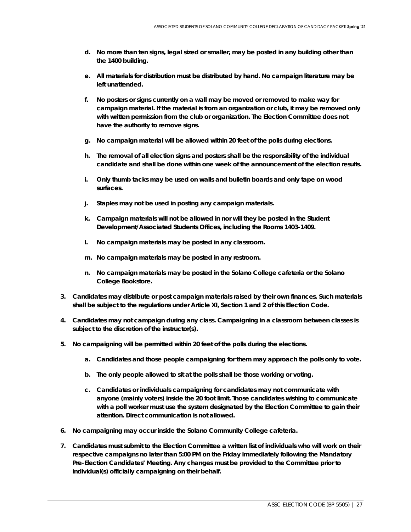- **d. No more than ten signs, legal sized or smaller, may be posted in any building other than the 1400 building.**
- **e. All materials for distribution must be distributed by hand. No campaign literature may be left unattended.**
- **f. No posters or signs currently on a wall may be moved or removed to make way for campaign material. If the material is from an organization or club, it may be removed only with written permission from the club or organization. The Election Committee does not have the authority to remove signs.**
- **g. No campaign material will be allowed within 20 feet of the polls during elections.**
- **h. The removal of all election signs and posters shall be the responsibility of the individual candidate and shall be done within one week of the announcement of the election results.**
- **i. Only thumb tacks may be used on walls and bulletin boards and only tape on wood surfaces.**
- **j. Staples may not be used in posting any campaign materials.**
- **k. Campaign materials will not be allowed in nor will they be posted in the Student Development/Associated Students Offices, including the Rooms 1403-1409.**
- **l. No campaign materials may be posted in any classroom.**
- **m. No campaign materials may be posted in any restroom.**
- **n. No campaign materials may be posted in the Solano College cafeteria or the Solano College Bookstore.**
- **3. Candidates may distribute or post campaign materials raised by their own finances. Such materials shall be subject to the regulations under Article XI, Section 1 and 2 of this Election Code.**
- **4. Candidates may not campaign during any class. Campaigning in a classroom between classes is subject to the discretion of the instructor(s).**
- **5. No campaigning will be permitted within 20 feet of the polls during the elections.**
	- **a. Candidates and those people campaigning for them may approach the polls only to vote.**
	- **b. The only people allowed to sit at the polls shall be those working or voting.**
	- **c. Candidates or individuals campaigning for candidates may not communicate with anyone (mainly voters) inside the 20 foot limit. Those candidates wishing to communicate with a poll worker must use the system designated by the Election Committee to gain their attention. Direct communication is not allowed.**
- **6. No campaigning may occur inside the Solano Community College cafeteria.**
- **7. Candidates must submit to the Election Committee a written list of individuals who will work on their respective campaigns no later than 5:00 PM on the Friday immediately following the Mandatory Pre-Election Candidates' Meeting. Any changes must be provided to the Committee prior to individual(s) officially campaigning on their behalf.**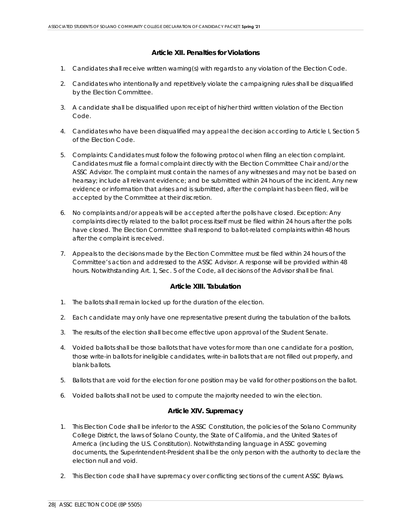# *Article XII. Penalties for Violations*

- *1. Candidates shall receive written warning(s) with regards to any violation of the Election Code.*
- *2. Candidates who intentionally and repetitively violate the campaigning rules shall be disqualified by the Election Committee.*
- *3. A candidate shall be disqualified upon receipt of his/her third written violation of the Election Code.*
- *4. Candidates who have been disqualified may appeal the decision according to Article I, Section 5 of the Election Code.*
- *5. Complaints: Candidates must follow the following protocol when filing an election complaint. Candidates must file a formal complaint directly with the Election Committee Chair and/or the ASSC Advisor. The complaint must contain the names of any witnesses and may not be based on hearsay; include all relevant evidence; and be submitted within 24 hours of the incident. Any new evidence or information that arises and is submitted, after the complaint has been filed, will be accepted by the Committee at their discretion.*
- *6. No complaints and/or appeals will be accepted after the polls have closed. Exception: Any complaints directly related to the ballot process itself must be filed within 24 hours after the polls have closed. The Election Committee shall respond to ballot-related complaints within 48 hours after the complaint is received.*
- *7. Appeals to the decisions made by the Election Committee must be filed within 24 hours of the Committee's action and addressed to the ASSC Advisor. A response will be provided within 48 hours. Notwithstanding Art. 1, Sec. 5 of the Code, all decisions of the Advisor shall be final.*

# **Article XIII. Tabulation**

- 1. The ballots shall remain locked up for the duration of the election.
- 2. Each candidate may only have one representative present during the tabulation of the ballots.
- 3. The results of the election shall become effective upon approval of the Student Senate.
- 4. Voided ballots shall be those ballots that have votes for more than one candidate for a position, those write-in ballots for ineligible candidates, write-in ballots that are not filled out properly, and blank ballots.
- 5. Ballots that are void for the election for one position may be valid for other positions on the ballot.
- 6. Voided ballots shall not be used to compute the majority needed to win the election.

# **Article XIV. Supremacy**

- 1. This Election Code shall be inferior to the ASSC Constitution, the policies of the Solano Community College District, the laws of Solano County, the State of California, and the United States of America (including the U.S. Constitution). Notwithstanding language in ASSC governing documents, the Superintendent-President shall be the only person with the authority to declare the election null and void.
- 2. This Election code shall have supremacy over conflicting sections of the current ASSC Bylaws.